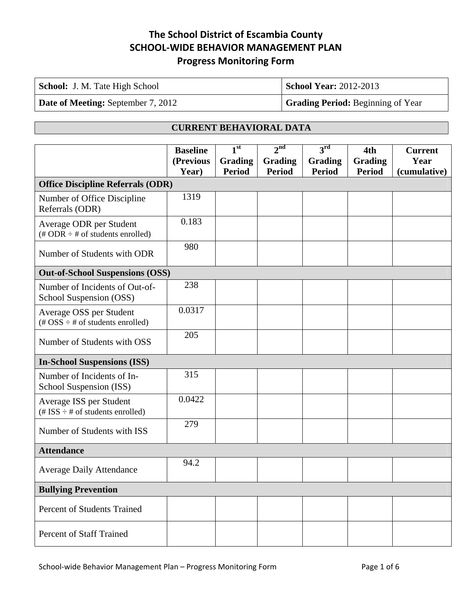| <b>School:</b> J. M. Tate High School     | <b>School Year: 2012-2013</b>            |
|-------------------------------------------|------------------------------------------|
| <b>Date of Meeting: September 7, 2012</b> | <b>Grading Period:</b> Beginning of Year |

#### **CURRENT BEHAVIORAL DATA**

|                                                                                                 | <b>Baseline</b><br>(Previous | 1 <sup>st</sup><br><b>Grading</b> | 2 <sup>nd</sup><br>Grading | $3^{\rm rd}$<br>Grading | 4th<br><b>Grading</b> | <b>Current</b><br>Year |
|-------------------------------------------------------------------------------------------------|------------------------------|-----------------------------------|----------------------------|-------------------------|-----------------------|------------------------|
|                                                                                                 | Year)                        | <b>Period</b>                     | <b>Period</b>              | <b>Period</b>           | <b>Period</b>         | (cumulative)           |
| <b>Office Discipline Referrals (ODR)</b>                                                        |                              |                                   |                            |                         |                       |                        |
| Number of Office Discipline<br>Referrals (ODR)                                                  | 1319                         |                                   |                            |                         |                       |                        |
| Average ODR per Student<br>$(\text{\# ODR} \div \text{\# of students enrolled})$                | 0.183                        |                                   |                            |                         |                       |                        |
| Number of Students with ODR                                                                     | 980                          |                                   |                            |                         |                       |                        |
| <b>Out-of-School Suspensions (OSS)</b>                                                          |                              |                                   |                            |                         |                       |                        |
| Number of Incidents of Out-of-<br>School Suspension (OSS)                                       | 238                          |                                   |                            |                         |                       |                        |
| Average OSS per Student<br>$(\text{\#} \text{OSS} \div \text{\#} \text{ of students enrolled})$ | 0.0317                       |                                   |                            |                         |                       |                        |
| Number of Students with OSS                                                                     | 205                          |                                   |                            |                         |                       |                        |
| <b>In-School Suspensions (ISS)</b>                                                              |                              |                                   |                            |                         |                       |                        |
| Number of Incidents of In-<br>School Suspension (ISS)                                           | 315                          |                                   |                            |                         |                       |                        |
| Average ISS per Student<br>(# ISS $\div$ # of students enrolled)                                | 0.0422                       |                                   |                            |                         |                       |                        |
| Number of Students with ISS                                                                     | 279                          |                                   |                            |                         |                       |                        |
| <b>Attendance</b>                                                                               |                              |                                   |                            |                         |                       |                        |
| <b>Average Daily Attendance</b>                                                                 | 94.2                         |                                   |                            |                         |                       |                        |
| <b>Bullying Prevention</b>                                                                      |                              |                                   |                            |                         |                       |                        |
| <b>Percent of Students Trained</b>                                                              |                              |                                   |                            |                         |                       |                        |
| <b>Percent of Staff Trained</b>                                                                 |                              |                                   |                            |                         |                       |                        |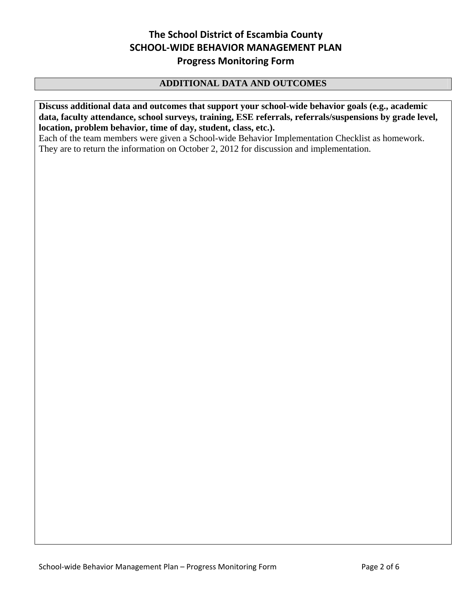## **ADDITIONAL DATA AND OUTCOMES**

**Discuss additional data and outcomes that support your school-wide behavior goals (e.g., academic data, faculty attendance, school surveys, training, ESE referrals, referrals/suspensions by grade level, location, problem behavior, time of day, student, class, etc.).**

Each of the team members were given a School-wide Behavior Implementation Checklist as homework. They are to return the information on October 2, 2012 for discussion and implementation.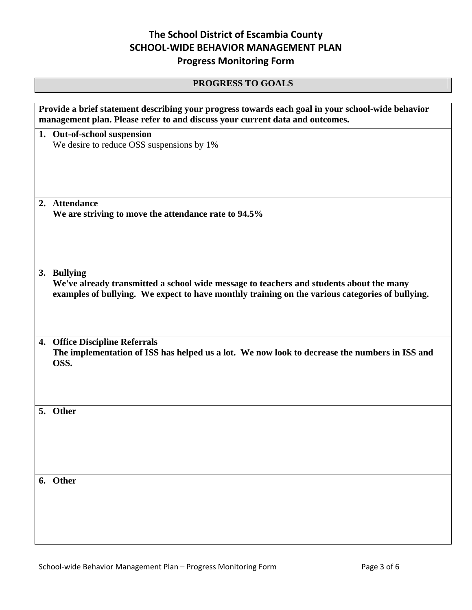#### **PROGRESS TO GOALS**

| Provide a brief statement describing your progress towards each goal in your school-wide behavior<br>management plan. Please refer to and discuss your current data and outcomes. |
|-----------------------------------------------------------------------------------------------------------------------------------------------------------------------------------|
| 1. Out-of-school suspension                                                                                                                                                       |
| We desire to reduce OSS suspensions by 1%                                                                                                                                         |
|                                                                                                                                                                                   |
|                                                                                                                                                                                   |
|                                                                                                                                                                                   |
| 2. Attendance                                                                                                                                                                     |
| We are striving to move the attendance rate to 94.5%                                                                                                                              |
|                                                                                                                                                                                   |
|                                                                                                                                                                                   |
|                                                                                                                                                                                   |
| 3. Bullying                                                                                                                                                                       |
| We've already transmitted a school wide message to teachers and students about the many                                                                                           |
| examples of bullying. We expect to have monthly training on the various categories of bullying.                                                                                   |
|                                                                                                                                                                                   |
|                                                                                                                                                                                   |
| 4. Office Discipline Referrals                                                                                                                                                    |
| The implementation of ISS has helped us a lot. We now look to decrease the numbers in ISS and                                                                                     |
| OSS.                                                                                                                                                                              |
|                                                                                                                                                                                   |
|                                                                                                                                                                                   |
|                                                                                                                                                                                   |
| 5. Other                                                                                                                                                                          |
|                                                                                                                                                                                   |
|                                                                                                                                                                                   |
|                                                                                                                                                                                   |
|                                                                                                                                                                                   |
| 6. Other                                                                                                                                                                          |
|                                                                                                                                                                                   |
|                                                                                                                                                                                   |
|                                                                                                                                                                                   |
|                                                                                                                                                                                   |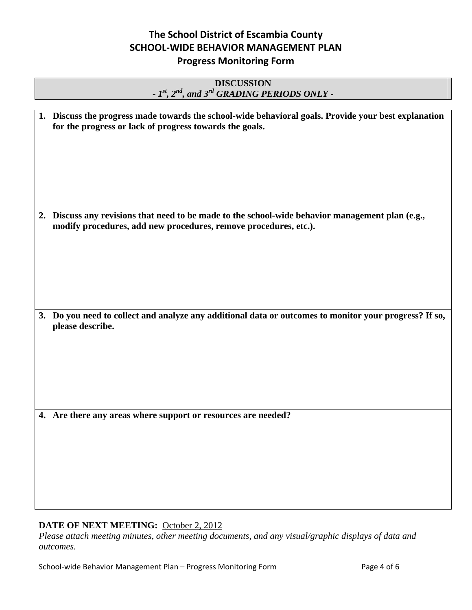#### **DISCUSSION**  *- 1st, 2nd, and 3rd GRADING PERIODS ONLY -*

| 1. Discuss the progress made towards the school-wide behavioral goals. Provide your best explanation<br>for the progress or lack of progress towards the goals.      |
|----------------------------------------------------------------------------------------------------------------------------------------------------------------------|
| 2. Discuss any revisions that need to be made to the school-wide behavior management plan (e.g.,<br>modify procedures, add new procedures, remove procedures, etc.). |
| 3. Do you need to collect and analyze any additional data or outcomes to monitor your progress? If so,<br>please describe.                                           |
| 4. Are there any areas where support or resources are needed?                                                                                                        |

#### **DATE OF NEXT MEETING:** October 2, 2012

*Please attach meeting minutes, other meeting documents, and any visual/graphic displays of data and outcomes.*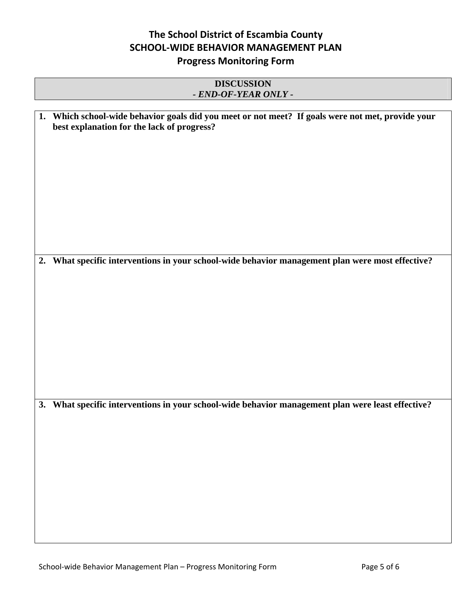#### **DISCUSSION**  *- END-OF-YEAR ONLY -*

| 1. Which school-wide behavior goals did you meet or not meet? If goals were not met, provide your<br>best explanation for the lack of progress? |  |
|-------------------------------------------------------------------------------------------------------------------------------------------------|--|
|                                                                                                                                                 |  |
|                                                                                                                                                 |  |
|                                                                                                                                                 |  |
| 2. What specific interventions in your school-wide behavior management plan were most effective?                                                |  |
|                                                                                                                                                 |  |
|                                                                                                                                                 |  |
|                                                                                                                                                 |  |
|                                                                                                                                                 |  |
| 3. What specific interventions in your school-wide behavior management plan were least effective?                                               |  |
|                                                                                                                                                 |  |
|                                                                                                                                                 |  |
|                                                                                                                                                 |  |
|                                                                                                                                                 |  |